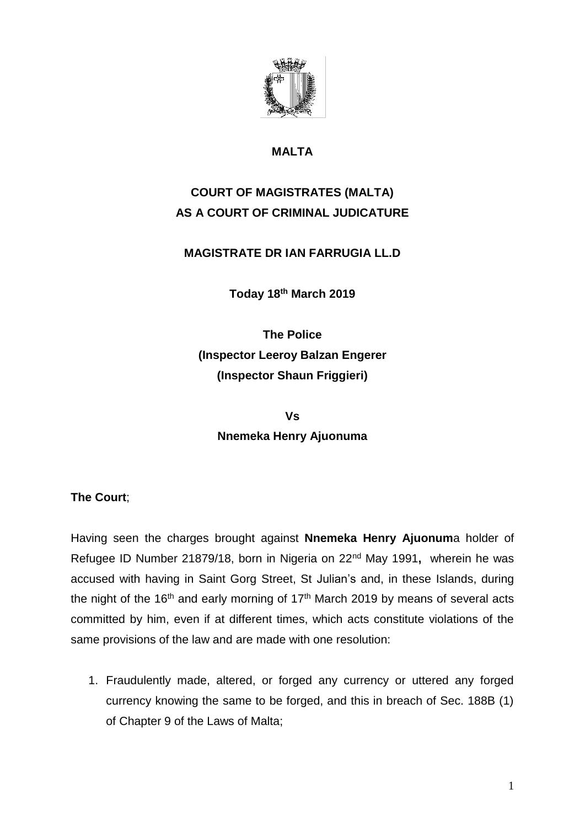

## **MALTA**

# **COURT OF MAGISTRATES (MALTA) AS A COURT OF CRIMINAL JUDICATURE**

## **MAGISTRATE DR IAN FARRUGIA LL.D**

**Today 18th March 2019**

**The Police (Inspector Leeroy Balzan Engerer (Inspector Shaun Friggieri)**

**Vs Nnemeka Henry Ajuonuma**

### **The Court**;

Having seen the charges brought against **Nnemeka Henry Ajuonum**a holder of Refugee ID Number 21879/18, born in Nigeria on 22nd May 1991**,** wherein he was accused with having in Saint Gorg Street, St Julian's and, in these Islands, during the night of the 16<sup>th</sup> and early morning of 17<sup>th</sup> March 2019 by means of several acts committed by him, even if at different times, which acts constitute violations of the same provisions of the law and are made with one resolution:

1. Fraudulently made, altered, or forged any currency or uttered any forged currency knowing the same to be forged, and this in breach of Sec. 188B (1) of Chapter 9 of the Laws of Malta;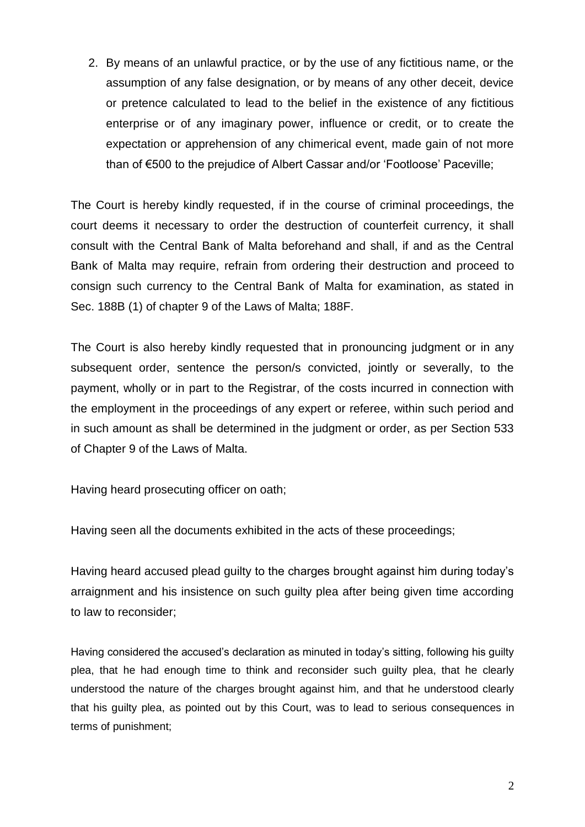2. By means of an unlawful practice, or by the use of any fictitious name, or the assumption of any false designation, or by means of any other deceit, device or pretence calculated to lead to the belief in the existence of any fictitious enterprise or of any imaginary power, influence or credit, or to create the expectation or apprehension of any chimerical event, made gain of not more than of €500 to the prejudice of Albert Cassar and/or 'Footloose' Paceville;

The Court is hereby kindly requested, if in the course of criminal proceedings, the court deems it necessary to order the destruction of counterfeit currency, it shall consult with the Central Bank of Malta beforehand and shall, if and as the Central Bank of Malta may require, refrain from ordering their destruction and proceed to consign such currency to the Central Bank of Malta for examination, as stated in Sec. 188B (1) of chapter 9 of the Laws of Malta; 188F.

The Court is also hereby kindly requested that in pronouncing judgment or in any subsequent order, sentence the person/s convicted, jointly or severally, to the payment, wholly or in part to the Registrar, of the costs incurred in connection with the employment in the proceedings of any expert or referee, within such period and in such amount as shall be determined in the judgment or order, as per Section 533 of Chapter 9 of the Laws of Malta.

Having heard prosecuting officer on oath;

Having seen all the documents exhibited in the acts of these proceedings;

Having heard accused plead guilty to the charges brought against him during today's arraignment and his insistence on such guilty plea after being given time according to law to reconsider;

Having considered the accused's declaration as minuted in today's sitting, following his guilty plea, that he had enough time to think and reconsider such guilty plea, that he clearly understood the nature of the charges brought against him, and that he understood clearly that his guilty plea, as pointed out by this Court, was to lead to serious consequences in terms of punishment;